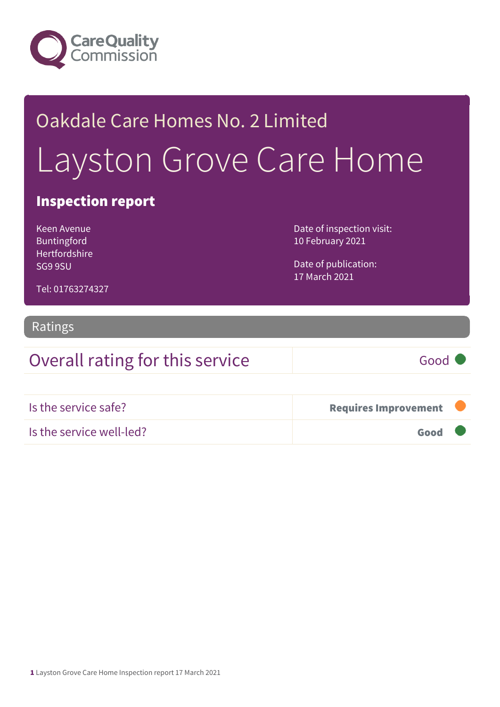

# Oakdale Care Homes No. 2 Limited Layston Grove Care Home

### Inspection report

Keen Avenue Buntingford Hertfordshire SG9 9SU

Date of inspection visit: 10 February 2021

Date of publication: 17 March 2021

Tel: 01763274327

#### Ratings

### Overall rating for this service Good

| Is the service safe?     | Requires Improvement |  |
|--------------------------|----------------------|--|
| Is the service well-led? | Good                 |  |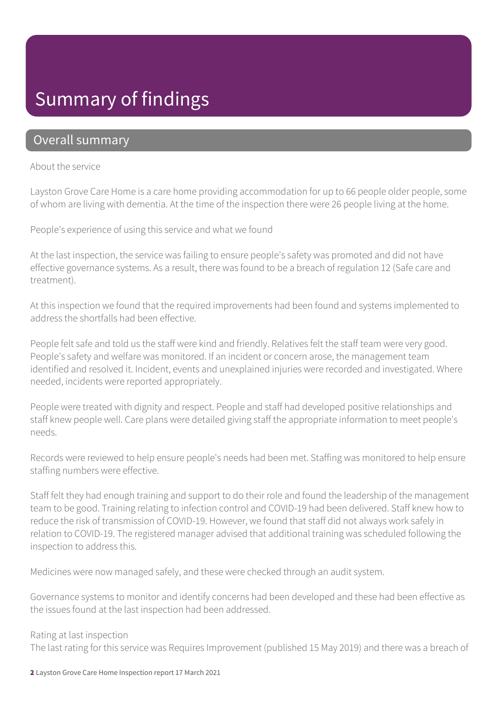## Summary of findings

### Overall summary

#### About the service

Layston Grove Care Home is a care home providing accommodation for up to 66 people older people, some of whom are living with dementia. At the time of the inspection there were 26 people living at the home.

People's experience of using this service and what we found

At the last inspection, the service was failing to ensure people's safety was promoted and did not have effective governance systems. As a result, there was found to be a breach of regulation 12 (Safe care and treatment).

At this inspection we found that the required improvements had been found and systems implemented to address the shortfalls had been effective.

People felt safe and told us the staff were kind and friendly. Relatives felt the staff team were very good. People's safety and welfare was monitored. If an incident or concern arose, the management team identified and resolved it. Incident, events and unexplained injuries were recorded and investigated. Where needed, incidents were reported appropriately.

People were treated with dignity and respect. People and staff had developed positive relationships and staff knew people well. Care plans were detailed giving staff the appropriate information to meet people's needs.

Records were reviewed to help ensure people's needs had been met. Staffing was monitored to help ensure staffing numbers were effective.

Staff felt they had enough training and support to do their role and found the leadership of the management team to be good. Training relating to infection control and COVID-19 had been delivered. Staff knew how to reduce the risk of transmission of COVID-19. However, we found that staff did not always work safely in relation to COVID-19. The registered manager advised that additional training was scheduled following the inspection to address this.

Medicines were now managed safely, and these were checked through an audit system.

Governance systems to monitor and identify concerns had been developed and these had been effective as the issues found at the last inspection had been addressed.

#### Rating at last inspection

The last rating for this service was Requires Improvement (published 15 May 2019) and there was a breach of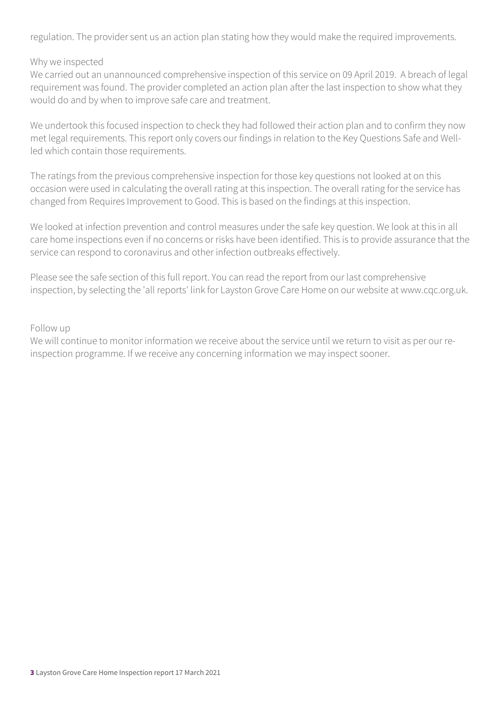regulation. The provider sent us an action plan stating how they would make the required improvements.

#### Why we inspected

We carried out an unannounced comprehensive inspection of this service on 09 April 2019. A breach of legal requirement was found. The provider completed an action plan after the last inspection to show what they would do and by when to improve safe care and treatment.

We undertook this focused inspection to check they had followed their action plan and to confirm they now met legal requirements. This report only covers our findings in relation to the Key Questions Safe and Wellled which contain those requirements.

The ratings from the previous comprehensive inspection for those key questions not looked at on this occasion were used in calculating the overall rating at this inspection. The overall rating for the service has changed from Requires Improvement to Good. This is based on the findings at this inspection.

We looked at infection prevention and control measures under the safe key question. We look at this in all care home inspections even if no concerns or risks have been identified. This is to provide assurance that the service can respond to coronavirus and other infection outbreaks effectively.

Please see the safe section of this full report. You can read the report from our last comprehensive inspection, by selecting the 'all reports' link for Layston Grove Care Home on our website at www.cqc.org.uk.

#### Follow up

We will continue to monitor information we receive about the service until we return to visit as per our reinspection programme. If we receive any concerning information we may inspect sooner.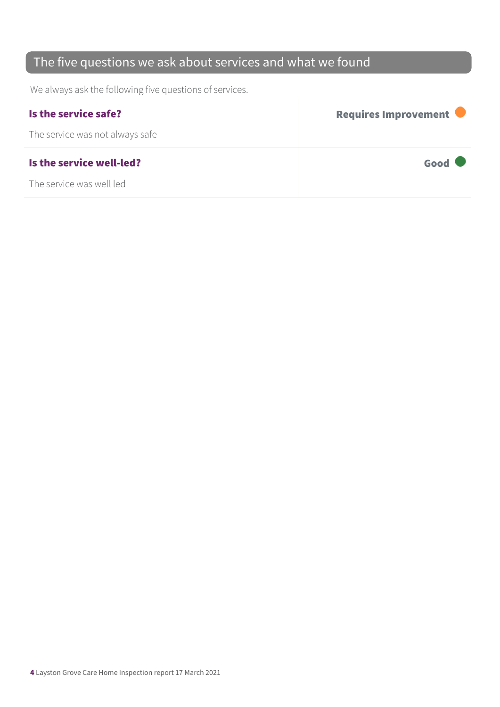### The five questions we ask about services and what we found

We always ask the following five questions of services.

| Is the service safe?            | <b>Requires Improvement</b> |
|---------------------------------|-----------------------------|
| The service was not always safe |                             |
| Is the service well-led?        | Good                        |
| The service was well led        |                             |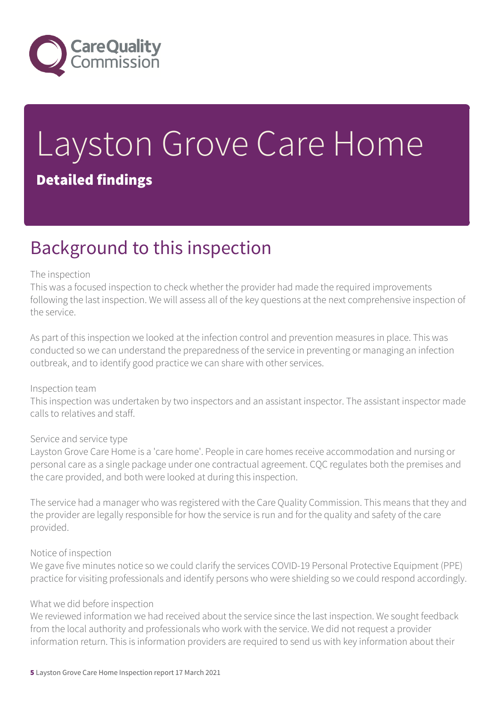

# Layston Grove Care Home Detailed findings

# Background to this inspection

#### The inspection

This was a focused inspection to check whether the provider had made the required improvements following the last inspection. We will assess all of the key questions at the next comprehensive inspection of the service.

As part of this inspection we looked at the infection control and prevention measures in place. This was conducted so we can understand the preparedness of the service in preventing or managing an infection outbreak, and to identify good practice we can share with other services.

#### Inspection team

This inspection was undertaken by two inspectors and an assistant inspector. The assistant inspector made calls to relatives and staff.

#### Service and service type

Layston Grove Care Home is a 'care home'. People in care homes receive accommodation and nursing or personal care as a single package under one contractual agreement. CQC regulates both the premises and the care provided, and both were looked at during this inspection.

The service had a manager who was registered with the Care Quality Commission. This means that they and the provider are legally responsible for how the service is run and for the quality and safety of the care provided.

#### Notice of inspection

We gave five minutes notice so we could clarify the services COVID-19 Personal Protective Equipment (PPE) practice for visiting professionals and identify persons who were shielding so we could respond accordingly.

#### What we did before inspection

We reviewed information we had received about the service since the last inspection. We sought feedback from the local authority and professionals who work with the service. We did not request a provider information return. This is information providers are required to send us with key information about their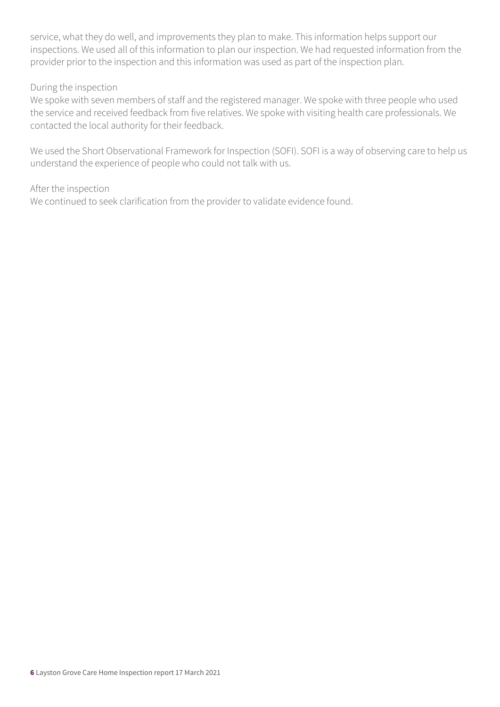service, what they do well, and improvements they plan to make. This information helps support our inspections. We used all of this information to plan our inspection. We had requested information from the provider prior to the inspection and this information was used as part of the inspection plan.

#### During the inspection

We spoke with seven members of staff and the registered manager. We spoke with three people who used the service and received feedback from five relatives. We spoke with visiting health care professionals. We contacted the local authority for their feedback.

We used the Short Observational Framework for Inspection (SOFI). SOFI is a way of observing care to help us understand the experience of people who could not talk with us.

#### After the inspection

We continued to seek clarification from the provider to validate evidence found.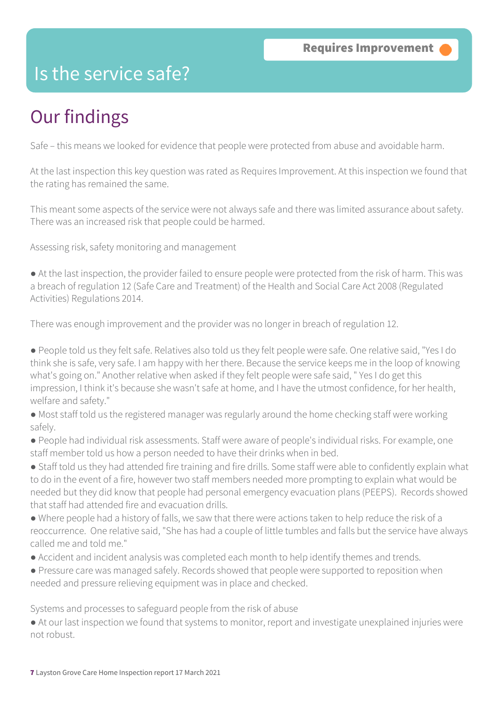### Is the service safe?

# Our findings

Safe – this means we looked for evidence that people were protected from abuse and avoidable harm.

At the last inspection this key question was rated as Requires Improvement. At this inspection we found that the rating has remained the same.

This meant some aspects of the service were not always safe and there was limited assurance about safety. There was an increased risk that people could be harmed.

Assessing risk, safety monitoring and management

● At the last inspection, the provider failed to ensure people were protected from the risk of harm. This was a breach of regulation 12 (Safe Care and Treatment) of the Health and Social Care Act 2008 (Regulated Activities) Regulations 2014.

There was enough improvement and the provider was no longer in breach of regulation 12.

● People told us they felt safe. Relatives also told us they felt people were safe. One relative said, "Yes I do think she is safe, very safe. I am happy with her there. Because the service keeps me in the loop of knowing what's going on." Another relative when asked if they felt people were safe said, " Yes I do get this impression, I think it's because she wasn't safe at home, and I have the utmost confidence, for her health, welfare and safety."

● Most staff told us the registered manager was regularly around the home checking staff were working safely.

● People had individual risk assessments. Staff were aware of people's individual risks. For example, one staff member told us how a person needed to have their drinks when in bed.

● Staff told us they had attended fire training and fire drills. Some staff were able to confidently explain what to do in the event of a fire, however two staff members needed more prompting to explain what would be needed but they did know that people had personal emergency evacuation plans (PEEPS). Records showed that staff had attended fire and evacuation drills.

● Where people had a history of falls, we saw that there were actions taken to help reduce the risk of a reoccurrence. One relative said, "She has had a couple of little tumbles and falls but the service have always called me and told me."

- Accident and incident analysis was completed each month to help identify themes and trends.
- Pressure care was managed safely. Records showed that people were supported to reposition when needed and pressure relieving equipment was in place and checked.

Systems and processes to safeguard people from the risk of abuse

● At our last inspection we found that systems to monitor, report and investigate unexplained injuries were not robust.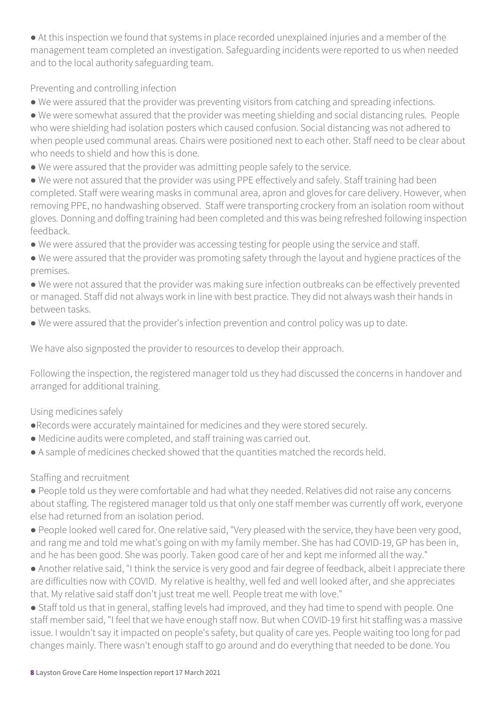● At this inspection we found that systems in place recorded unexplained injuries and a member of the management team completed an investigation. Safeguarding incidents were reported to us when needed and to the local authority safeguarding team.

Preventing and controlling infection

● We were assured that the provider was preventing visitors from catching and spreading infections.

● We were somewhat assured that the provider was meeting shielding and social distancing rules. People who were shielding had isolation posters which caused confusion. Social distancing was not adhered to when people used communal areas. Chairs were positioned next to each other. Staff need to be clear about who needs to shield and how this is done.

● We were assured that the provider was admitting people safely to the service.

● We were not assured that the provider was using PPE effectively and safely. Staff training had been completed. Staff were wearing masks in communal area, apron and gloves for care delivery. However, when removing PPE, no handwashing observed. Staff were transporting crockery from an isolation room without gloves. Donning and doffing training had been completed and this was being refreshed following inspection feedback.

- We were assured that the provider was accessing testing for people using the service and staff.
- We were assured that the provider was promoting safety through the layout and hygiene practices of the premises.

● We were not assured that the provider was making sure infection outbreaks can be effectively prevented or managed. Staff did not always work in line with best practice. They did not always wash their hands in between tasks.

● We were assured that the provider's infection prevention and control policy was up to date.

We have also signposted the provider to resources to develop their approach.

Following the inspection, the registered manager told us they had discussed the concerns in handover and arranged for additional training.

#### Using medicines safely

- ●Records were accurately maintained for medicines and they were stored securely.
- Medicine audits were completed, and staff training was carried out.
- A sample of medicines checked showed that the quantities matched the records held.

#### Staffing and recruitment

● People told us they were comfortable and had what they needed. Relatives did not raise any concerns about staffing. The registered manager told us that only one staff member was currently off work, everyone else had returned from an isolation period.

● People looked well cared for. One relative said, "Very pleased with the service, they have been very good, and rang me and told me what's going on with my family member. She has had COVID-19, GP has been in, and he has been good. She was poorly. Taken good care of her and kept me informed all the way."

● Another relative said, "I think the service is very good and fair degree of feedback, albeit I appreciate there are difficulties now with COVID. My relative is healthy, well fed and well looked after, and she appreciates that. My relative said staff don't just treat me well. People treat me with love."

● Staff told us that in general, staffing levels had improved, and they had time to spend with people. One staff member said, "I feel that we have enough staff now. But when COVID-19 first hit staffing was a massive issue. I wouldn't say it impacted on people's safety, but quality of care yes. People waiting too long for pad changes mainly. There wasn't enough staff to go around and do everything that needed to be done. You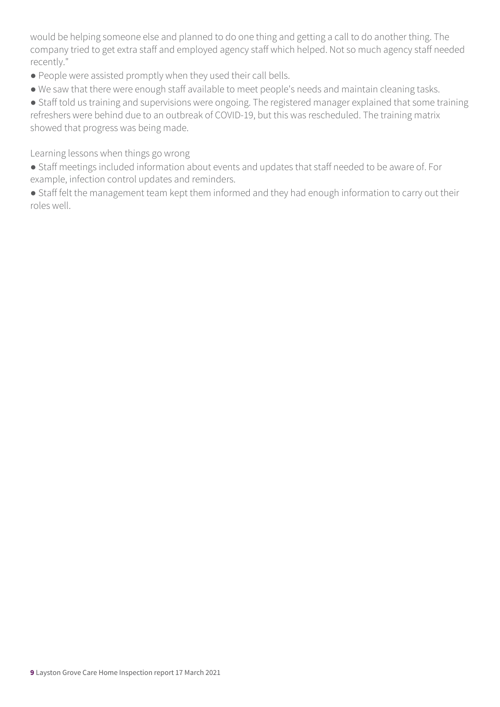would be helping someone else and planned to do one thing and getting a call to do another thing. The company tried to get extra staff and employed agency staff which helped. Not so much agency staff needed recently."

- People were assisted promptly when they used their call bells.
- We saw that there were enough staff available to meet people's needs and maintain cleaning tasks.

● Staff told us training and supervisions were ongoing. The registered manager explained that some training refreshers were behind due to an outbreak of COVID-19, but this was rescheduled. The training matrix showed that progress was being made.

Learning lessons when things go wrong

- Staff meetings included information about events and updates that staff needed to be aware of. For example, infection control updates and reminders.
- Staff felt the management team kept them informed and they had enough information to carry out their roles well.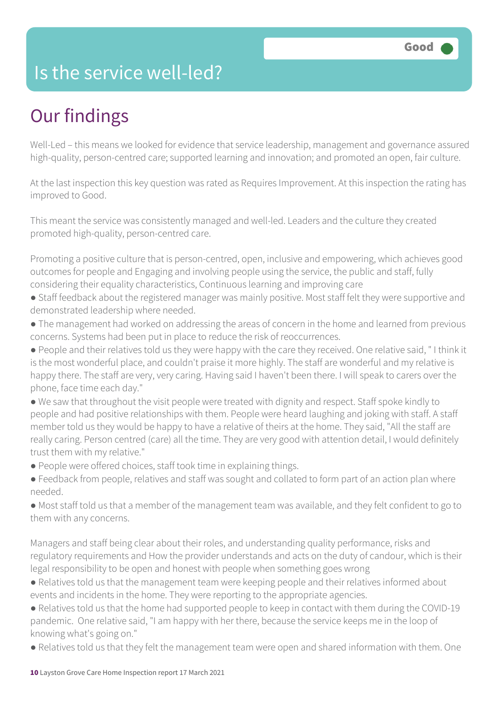### Is the service well-led?

# Our findings

Well-Led – this means we looked for evidence that service leadership, management and governance assured high-quality, person-centred care; supported learning and innovation; and promoted an open, fair culture.

At the last inspection this key question was rated as Requires Improvement. At this inspection the rating has improved to Good.

This meant the service was consistently managed and well-led. Leaders and the culture they created promoted high-quality, person-centred care.

Promoting a positive culture that is person-centred, open, inclusive and empowering, which achieves good outcomes for people and Engaging and involving people using the service, the public and staff, fully considering their equality characteristics, Continuous learning and improving care

- Staff feedback about the registered manager was mainly positive. Most staff felt they were supportive and demonstrated leadership where needed.
- The management had worked on addressing the areas of concern in the home and learned from previous concerns. Systems had been put in place to reduce the risk of reoccurrences.
- People and their relatives told us they were happy with the care they received. One relative said, " I think it is the most wonderful place, and couldn't praise it more highly. The staff are wonderful and my relative is happy there. The staff are very, very caring. Having said I haven't been there. I will speak to carers over the phone, face time each day."
- We saw that throughout the visit people were treated with dignity and respect. Staff spoke kindly to people and had positive relationships with them. People were heard laughing and joking with staff. A staff member told us they would be happy to have a relative of theirs at the home. They said, "All the staff are really caring. Person centred (care) all the time. They are very good with attention detail, I would definitely trust them with my relative."
- People were offered choices, staff took time in explaining things.
- Feedback from people, relatives and staff was sought and collated to form part of an action plan where needed.
- Most staff told us that a member of the management team was available, and they felt confident to go to them with any concerns.

Managers and staff being clear about their roles, and understanding quality performance, risks and regulatory requirements and How the provider understands and acts on the duty of candour, which is their legal responsibility to be open and honest with people when something goes wrong

- Relatives told us that the management team were keeping people and their relatives informed about events and incidents in the home. They were reporting to the appropriate agencies.
- Relatives told us that the home had supported people to keep in contact with them during the COVID-19 pandemic. One relative said, "I am happy with her there, because the service keeps me in the loop of knowing what's going on."
- Relatives told us that they felt the management team were open and shared information with them. One